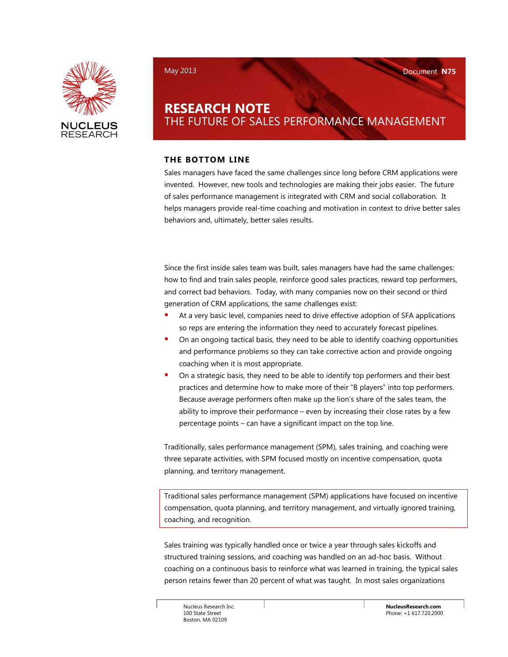

# **RESEARCH NOTE** THE FUTURE OF SALES PERFORMANCE MANAGEMENT

## **THE BOTTOM LINE**

Sales managers have faced the same challenges since long before CRM applications were invented. However, new tools and technologies are making their jobs easier. The future of sales performance management is integrated with CRM and social collaboration. It helps managers provide real-time coaching and motivation in context to drive better sales behaviors and, ultimately, better sales results.

Since the first inside sales team was built, sales managers have had the same challenges: how to find and train sales people, reinforce good sales practices, reward top performers, and correct bad behaviors. Today, with many companies now on their second or third generation of CRM applications, the same challenges exist:

- At a very basic level, companies need to drive effective adoption of SFA applications so reps are entering the information they need to accurately forecast pipelines.
- On an ongoing tactical basis, they need to be able to identify coaching opportunities and performance problems so they can take corrective action and provide ongoing coaching when it is most appropriate.
- On a strategic basis, they need to be able to identify top performers and their best practices and determine how to make more of their "B players" into top performers. Because average performers often make up the lion's share of the sales team, the ability to improve their performance – even by increasing their close rates by a few percentage points – can have a significant impact on the top line.

Traditionally, sales performance management (SPM), sales training, and coaching were three separate activities, with SPM focused mostly on incentive compensation, quota planning, and territory management.

Traditional sales performance management (SPM) applications have focused on incentive compensation, quota planning, and territory management, and virtually ignored training, coaching, and recognition.

Sales training was typically handled once or twice a year through sales kickoffs and structured training sessions, and coaching was handled on an ad-hoc basis. Without coaching on a continuous basis to reinforce what was learned in training, the typical sales person retains fewer than 20 percent of what was taught. In most sales organizations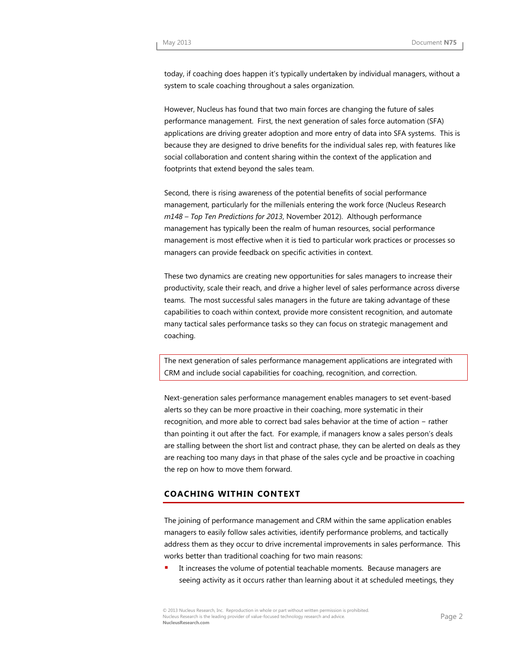today, if coaching does happen it's typically undertaken by individual managers, without a system to scale coaching throughout a sales organization.

However, Nucleus has found that two main forces are changing the future of sales performance management. First, the next generation of sales force automation (SFA) applications are driving greater adoption and more entry of data into SFA systems. This is because they are designed to drive benefits for the individual sales rep, with features like social collaboration and content sharing within the context of the application and footprints that extend beyond the sales team.

Second, there is rising awareness of the potential benefits of social performance management, particularly for the millenials entering the work force (Nucleus Research *m148 – Top Ten Predictions for 2013*, November 2012). Although performance management has typically been the realm of human resources, social performance management is most effective when it is tied to particular work practices or processes so managers can provide feedback on specific activities in context.

These two dynamics are creating new opportunities for sales managers to increase their productivity, scale their reach, and drive a higher level of sales performance across diverse teams. The most successful sales managers in the future are taking advantage of these capabilities to coach within context, provide more consistent recognition, and automate many tactical sales performance tasks so they can focus on strategic management and coaching.

The next generation of sales performance management applications are integrated with CRM and include social capabilities for coaching, recognition, and correction.

Next-generation sales performance management enables managers to set event-based alerts so they can be more proactive in their coaching, more systematic in their recognition, and more able to correct bad sales behavior at the time of action − rather than pointing it out after the fact. For example, if managers know a sales person's deals are stalling between the short list and contract phase, they can be alerted on deals as they are reaching too many days in that phase of the sales cycle and be proactive in coaching the rep on how to move them forward.

## **COACHING WITHIN CONTEXT**

The joining of performance management and CRM within the same application enables managers to easily follow sales activities, identify performance problems, and tactically address them as they occur to drive incremental improvements in sales performance. This works better than traditional coaching for two main reasons:

 It increases the volume of potential teachable moments. Because managers are seeing activity as it occurs rather than learning about it at scheduled meetings, they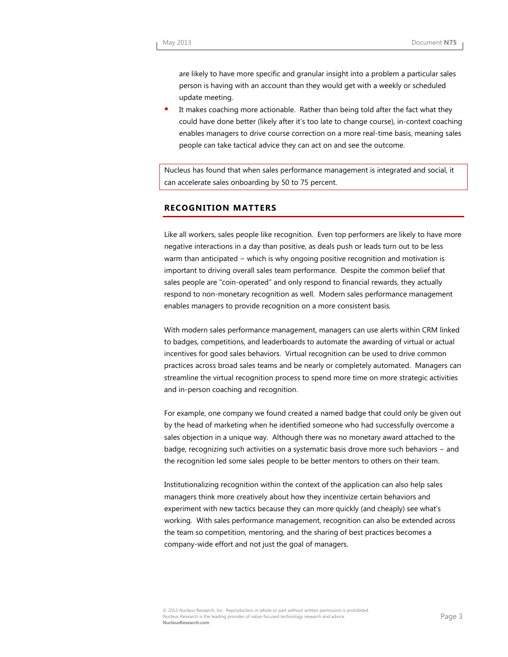are likely to have more specific and granular insight into a problem a particular sales person is having with an account than they would get with a weekly or scheduled update meeting.

 It makes coaching more actionable. Rather than being told after the fact what they could have done better (likely after it's too late to change course), in-context coaching enables managers to drive course correction on a more real-time basis, meaning sales people can take tactical advice they can act on and see the outcome.

Nucleus has found that when sales performance management is integrated and social, it can accelerate sales onboarding by 50 to 75 percent.

#### **RECOGNITION MATTERS**

Like all workers, sales people like recognition. Even top performers are likely to have more negative interactions in a day than positive, as deals push or leads turn out to be less warm than anticipated − which is why ongoing positive recognition and motivation is important to driving overall sales team performance. Despite the common belief that sales people are "coin-operated" and only respond to financial rewards, they actually respond to non-monetary recognition as well. Modern sales performance management enables managers to provide recognition on a more consistent basis.

With modern sales performance management, managers can use alerts within CRM linked to badges, competitions, and leaderboards to automate the awarding of virtual or actual incentives for good sales behaviors. Virtual recognition can be used to drive common practices across broad sales teams and be nearly or completely automated. Managers can streamline the virtual recognition process to spend more time on more strategic activities and in-person coaching and recognition.

For example, one company we found created a named badge that could only be given out by the head of marketing when he identified someone who had successfully overcome a sales objection in a unique way. Although there was no monetary award attached to the badge, recognizing such activities on a systematic basis drove more such behaviors − and the recognition led some sales people to be better mentors to others on their team.

Institutionalizing recognition within the context of the application can also help sales managers think more creatively about how they incentivize certain behaviors and experiment with new tactics because they can more quickly (and cheaply) see what's working. With sales performance management, recognition can also be extended across the team so competition, mentoring, and the sharing of best practices becomes a company-wide effort and not just the goal of managers.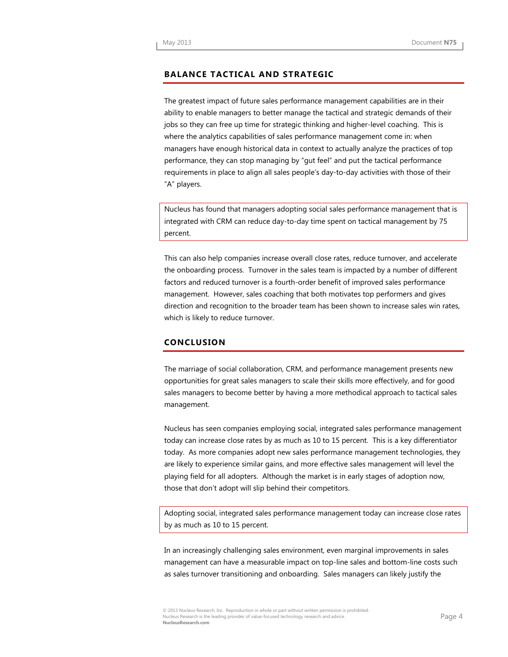### **BALANCE TACTICAL AND STRATEGIC**

The greatest impact of future sales performance management capabilities are in their ability to enable managers to better manage the tactical and strategic demands of their jobs so they can free up time for strategic thinking and higher-level coaching. This is where the analytics capabilities of sales performance management come in: when managers have enough historical data in context to actually analyze the practices of top performance, they can stop managing by "gut feel" and put the tactical performance requirements in place to align all sales people's day-to-day activities with those of their "A" players.

Nucleus has found that managers adopting social sales performance management that is integrated with CRM can reduce day-to-day time spent on tactical management by 75 percent.

This can also help companies increase overall close rates, reduce turnover, and accelerate the onboarding process. Turnover in the sales team is impacted by a number of different factors and reduced turnover is a fourth-order benefit of improved sales performance management. However, sales coaching that both motivates top performers and gives direction and recognition to the broader team has been shown to increase sales win rates, which is likely to reduce turnover.

#### **CONCLUSION**

The marriage of social collaboration, CRM, and performance management presents new opportunities for great sales managers to scale their skills more effectively, and for good sales managers to become better by having a more methodical approach to tactical sales management.

Nucleus has seen companies employing social, integrated sales performance management today can increase close rates by as much as 10 to 15 percent. This is a key differentiator today. As more companies adopt new sales performance management technologies, they are likely to experience similar gains, and more effective sales management will level the playing field for all adopters. Although the market is in early stages of adoption now, those that don't adopt will slip behind their competitors.

Adopting social, integrated sales performance management today can increase close rates by as much as 10 to 15 percent.

In an increasingly challenging sales environment, even marginal improvements in sales management can have a measurable impact on top-line sales and bottom-line costs such as sales turnover transitioning and onboarding. Sales managers can likely justify the